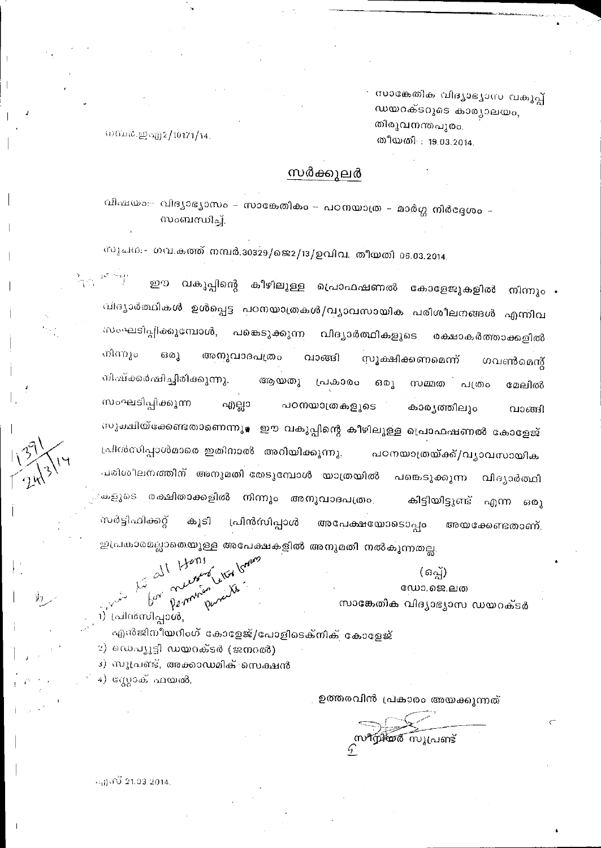സാങ്കേതിക വിദൃാഭൃാസ വകുപ്പ് ഡയറക്ടറുടെ കാര്യാലയം, തിരുവനന്തപുരം. തീയതി : 19,03,2014.

നമർ.ഇഎ2/10171/14.

# സർക്കുലർ

വിഷയം:- വിദ്യാഭ്യാസം – സാങ്കേതികം – പഠനയാത്ര – മാർഗ്ഗ നിർദ്ദേശം – സംബന്ധിച്ച്.

സുചന:- ഗവ.കത്ത് നമ്പർ.30329/ജെ2/13/ഉവിവ. തീയതി 06.03.2014.

കീഴിലുള്ള പ്രൊഫഷണൽ കോളേജുകളിൽ നിന്നും . ഇത വകുപ്പിന്റെ വിദ്യാർത്ഥികൾ ഉൾപ്പെട്ട പഠനയാത്രകൾ/വൃാവസായിക പരിശീലനങ്ങൾ എന്നിവ സംഘടിപ്പിക്കുമ്പോൾ, പങ്കെടുക്കുന്ന വിദ്യാർത്ഥികളുടെ രക്ഷാകർത്താക്കളിൽ നിന്നും  $63(0)$ അനുവാദപത്രം വാങ്ങി സൂക്ഷിക്കണമെന്ന് ഗവൺമെന്റ് നിഷ്ക്കർഷിച്ചിരിക്കുന്നു. ആയതു പ്രകാരം ഒരൂ സമ്മത  $nH(0)$ o മേലിൽ സംഘടിപ്പിക്കുന്ന എല്ലാ പഠനയാത്രകളുടെ കാരൃത്തിലും വാങ്ങി സുക്ഷിയ്ക്കേണ്ടതാണെന്നു<sub>≹</sub> ഈ വകുപ്പിന്റെ കീഴിലുള്ള പ്രൊഫഷണൽ കോളേജ് പ്രിൻസിപ്പാൾമാരെ ഇതിനാൽ അറിയിക്കുന്നു. പഠനയാത്രയ്ക്ക്/വൃാവസായിക പരിശീലനത്തിന് അനുമതി തേടുമ്പോൾ യാത്രയിൽ പങ്കെടുക്കുന്ന വിദ്യാർത്ഥി കളുടെ രക്ഷിതാക്കളിൽ നിന്നും അനുവാദപത്രം കിട്ടിയിട്ടുണ്ട് എന്ന ഒരു സർട്ടിഫിക്കറ്റ് പ്രിൻസിപ്പാൾ കൂടി അപേക്ഷയോടൊപ്പം അയക്കേണ്ടതാണ്. ഇപ്രകാരമല്ലാതെയുള്ള അപേക്ഷകളിൽ അനുമതി നൽകുന്നതല്ല.

> $(a_2)$ ഡോ.ജെ.ലത സാങ്കേതിക വിദ്യാഭ്യാസ ഡയറക്ടർ

Le dit 1 termine Chor born 1) പ്രിൻസിപ്പാൾ,

എൻജിനീയറിംഗ് കോളേജ്/പോളിടെക്നിക് കോളേജ്

2) ഡെപ്യൂട്ടി ഡയറക്ടർ (ജനറൽ)

3) സുപ്രണ്ട്, അക്കാഡമിക് സെക്ഷൻ

4) സ്റ്റോക് ഫയൽ.

ഉത്തരവിൻ പ്രകാരം അയക്കുന്നത്

സ**ീസ്റ്റി**യർ സൂപ്രണ്ട്

 $(4)$  (i)  $21.93.2014$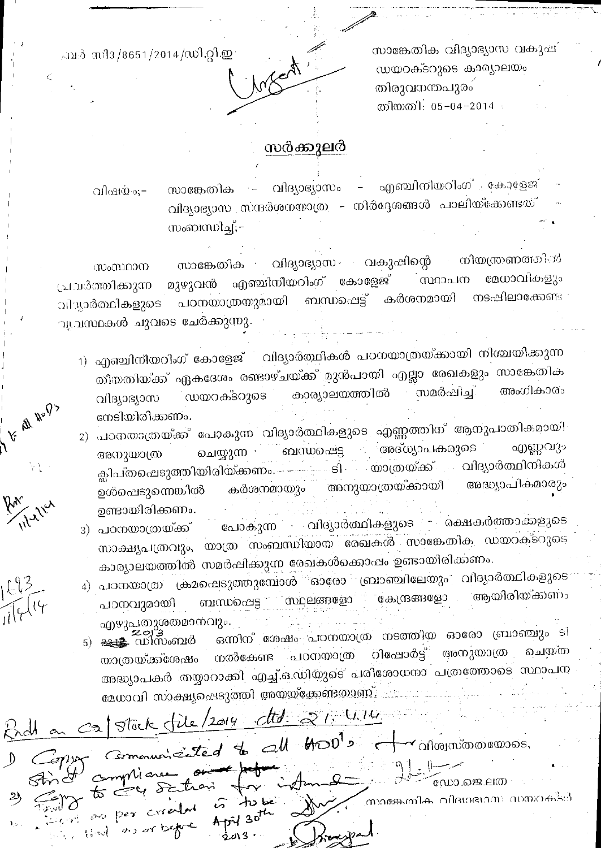സാങ്കേതിക വിദ്യാഭ്യാസ വകുഷ് ഡയറക്ടറുടെ കാര്യാലയം തിരുവനന്തപുരം തിയതി: 05-04-2014

Infect

# .ബർ-സി3/8651/2014/ഡി.റ്റി.ഇ

V Al Rop

# സർക്കുലർ

വിദ്യാഭ്യാസം – എഞ്ചിനിയറിംഗ് കോളേജ് സാങ്കേതിക  $\rightarrow$   $-$ വിഷയം;– വിദ്യാഭ്യാസ സന്ദർശനയാത്ര – നിർദ്ദേശങ്ങൾ പാലിയ്ക്കേണ്ടത് സംബന്ധിച്ച്;–

വിദ്യാഭ്യാസ വകുഷിന്റെ നിയന്ത്രണത്തിൽ സാങ്കേതിക സംസ്ഥാന മുഴുവൻ എഞ്ചിനീയറിംഗ് കോളേജ് സ്ഥാപന മേധാവികളും ്രപവർത്തിക്കുന്ന നടപ്പിലാകോണ്ട പഠനയാത്രയുമായി ബന്ധപ്പെട്ട് കർശനമായി വിദ്യാർത്ഥികളുടെ ുപ്രസ്ഥകൾ ചുവടെ ചേർക്കുന്നു.

- 1) എഞ്ചിനീയറിംഗ് കോളേജ് വിദ്യാർത്ഥികൾ പഠനയാത്രയ്ക്കായി നിശ്ചയിക്കുന്ന തീയതിയ്ക്ക് ഏകദേശം രണ്ടാഴ്ചയ്ക്ക് മുൻപായി എല്ലാ രേഖകളും സാങ്കേതിക കാര്യാലയത്തിൽ അംഗീകാരം സമർഷിച്ച് ഡയറക്ടറുടെ വിദ്യാഭ്യാസ നേടിയിരിക്കണം.
- 2) പഠനയാത്രയ്ക്ക് പോകുന്ന വിദ്യാർത്ഥികളുടെ എണ്ണത്തിന് ആനുപാതികമായി എണ്ണവും ം അദ്ധ്യാപകരുടെ ് ബന്ധപ്പെട്ട ചെയ്യുന്ന നി അനുയാത്ര ക്ലിപ്തഷെടുത്തിയിരിയ്ക്കണം. —————ടി യാത്രയ്ക്ക് വിദ്യാർത്ഥിനികൾ അനുയാത്രയ്ക്കായി അദ്ധ്യാപികമാരും കർശനമായും ഉൾപെടുന്നെങ്കിൽ ഉണ്ടായിരിക്കണം.
- ് വിദ്യാർത്ഥികളുടെ രക്ഷകർത്താക്കളുടെ പോകുന്ന 3) പഠനയാത്രയ്ക്ക് സാക്ഷ്യപത്രവും, യാത്ര സംബന്ധിയായ രേഖകൾ സാങ്കേതിക ഡയറക്ടറുടെ കാര്യാലയത്തിൽ സമർപ്പിക്കുന്ന രേഖകൾക്കൊപ്പം ഉണ്ടായിരിക്കണം.
- 4) പഠനയാത്ര ക്രമപ്പെടുത്തുമ്പോൾ ഓരോ ബ്രാഞ്ചിലേയും വിദ്യാർത്ഥികളുടെ ആയിരിയ്ക്കണം ബന്ധപ്പെട്ട സ്ഥലങ്ങളോ കേന്ദ്രങ്ങളോ പാനവുമായി എഴുപതുശതമാനവും.
- ഒന്നിന് ശേഷം പഠനയാത്ര നടത്തിയ ഓരോ ബ്രാഞ്ചും ടി <u> കൃ≰</u> ഡിസംബർ  $5)$ പഠനയാത്ര റിഷോർട്ട് അനുയാത്ര ചെയ്ത നൽകേണ്ട യാത്രയ്ക്ക്ശേഷം അദ്ധ്യാപകർ തയ്യാറാക്കി എച്ച്.ഒ.ഡിയുടെ പരിശോധനാ പത്രത്തോടെ സ്ഥാപന മേധാവി സാക്ഷ്യപ്പെടുത്തി അയയ്ക്കേണ്ടതാണ്. .....

Stock file/2014 dtd. 21. 4.14 Communicated to all HOD's  $\bm{\checkmark}$ വിശ്വസ്തതയോടെ, mmliare ഡോ.ജെ.ലത ,നാങ്കേതിക വിദഗഭഗസ സയറക്ടർ  $242$   $per$   $Cr$  $-\omega_0$  of  $\varepsilon$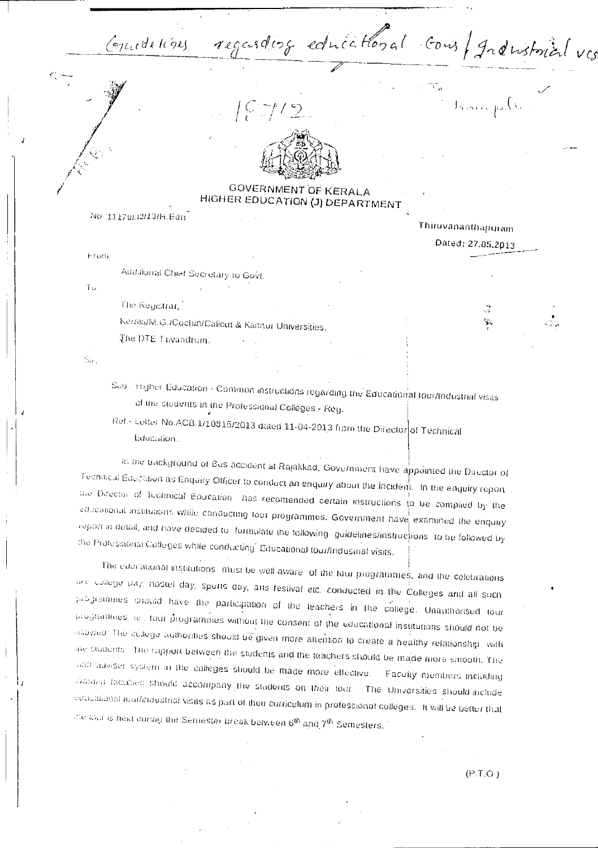Guidelines regarding educational cons/granstrial vis

(こ) ブノワ



GOVERNMENT OF KERALA HIGHER EDUCATION (J) DEPARTMENT

No. 11170/J2/13/H.Edn

Thiruvananthapuram

Dated: 27.05.2013

 $\int_{\mathcal{B}_{\mathbf{z}}\left(\mathcal{B}(\mathbf{Y},\mathbf{z})\right)}\rho_{\mathbf{z}}\left(\int_{\mathbf{z}}\right)^{\frac{1}{2}}$ 

From Addaional Chief Secretary to Govt.

Ίü

The Registrar

Keraki/M.G./Cochin/Calicut & Kannur Universities.

The DTE Trivandrum-

 $S_{\rm in}$ 

Sub. Higher Education - Common instructions regarding the Educational tour/Industrial visits of the students in the Professional Collèges - Reg.

Ref.- Letter No.ACB.1/10815/2013 dated 11-04-2013 from the Director of Technical Education...

In the background of Bus accident at Rajakkad, Government have appointed the Director of Technical Education as Enquiry Officer to conduct an enquiry about the incident. In the enquiry report the Director of Technical Education. has recomended certain instructions to be complied by the educational institutions while conducting jour programmes. Government have examined the enquay report in detail, and have decided to iformulate the following iguidelines/instructions to be followed by the Protessional Colleges while conducting' Educational tour/Industrial visits.

The educational institutions imust be well aware, of the tour programmes, and the celebrations are college day, hostel day, sports day, arts festival etc. conducted in the Colleges and all such programmes should have the participation of the leachers in the college. Unauthorised tour programmes, rel. tour programmes without the consent of the educational institutions should not be diowed. The college authorities should be given more attention to create a healthy relationship, with the students. The rapport between the students and the teachers should be made more smooth. The sialt adviser system in the colleges should be made more effective. Faculty members including Dora-a faculaes should accompany the students on their tour. The Universities should include educational touthnoustrial visits as part of their curriculum in professional colleges. It will be better that the tour is neld during the Semester break between 6th and 7th Semesters.

 $(P.T.O.)$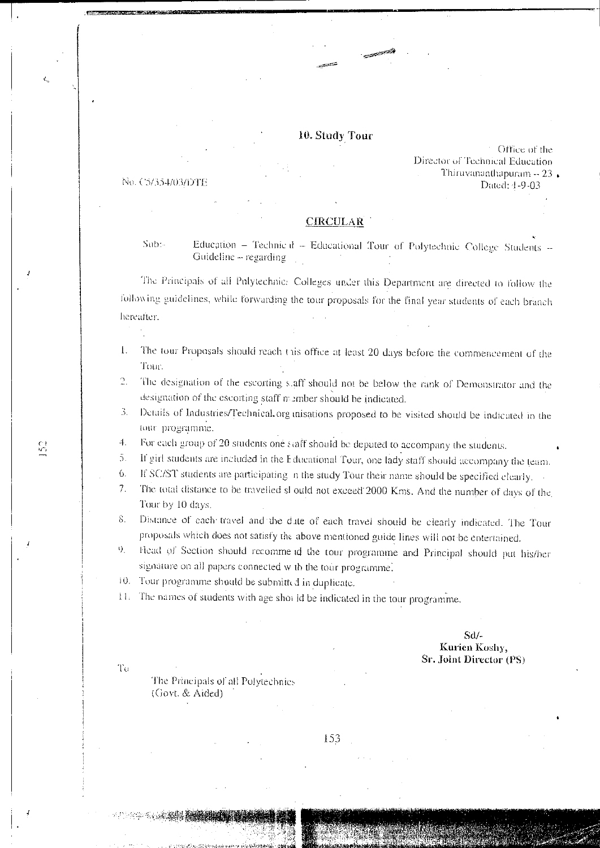### 10. Study Tour

Pio. CS/ 3:54/03/DTE

Office of the Director of Technical Education Thiruvananthapuram  $-23$ , Dated: 1-9-03

#### CIRCULAR

Sub:- Education – Technic d – Educational Tour of Polytechnic College Students --Guideline -- regarding

the Principals of all Polytechnic: Colleges under this Department are directed to follow the follow ing guidelines, while forwarding the tour proposals for the final year students of each branch hereafter.

- 1. The tour Proposals should reach this office at least 20 days before the commencement of the Tour.
- 2. The designation of the escorting staff should not be below the rank of Demonstrator and the designation of the escorting staff member should he indicated.
- 3. Details of Industries/Technical organisations proposed to be visited should be indicated in the tour programme.
- 4. For each group of 20 students one t taff should be deputed to accompany the students.
- if girl students are included in the Educational Tour, one lady staff should accompany the team. 5.
- 6. IC SC/ST students are participating a the study Tour their name should be specified clearly.
- 7. The total distance to be travelled sl ould not exceed 2000 Kms. And the number of days of the Tour by 10 days.
- 8. Distance of each travel and the dute of each travel should be clearly indicated. The Tour proposals which does not satisfy the above mentioned guide lines will nor be entertained.
- 9. Head of Section should recomme id the tour programme and Principal should put his/her signature on all papers connected w th the tour programme.
- 10. Tour programme should be submitted in duplicate.
- 11. The names of students with age shot Id be indicated in the tour programme.

SW-Kurien Koshy, Sr. Joint Director (PS)

To

The Principals of all Polytechnic:- (Govt. & Aided)

153

 $\mathbb{C}^1$